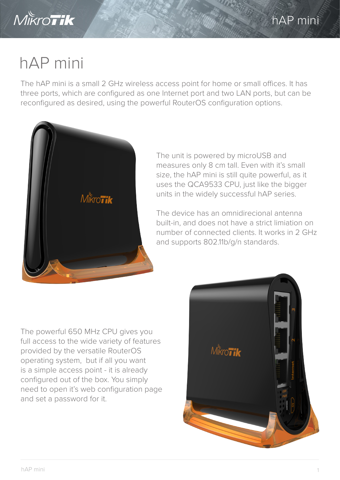

## hAP mini

The hAP mini is a small 2 GHz wireless access point for home or small offices. It has three ports, which are configured as one Internet port and two LAN ports, but can be reconfigured as desired, using the powerful RouterOS configuration options.



The unit is powered by microUSB and measures only 8 cm tall. Even with it's small size, the hAP mini is still quite powerful, as it uses the QCA9533 CPU, just like the bigger units in the widely successful hAP series.

The device has an omnidirecional antenna built-in, and does not have a strict limiation on number of connected clients. It works in 2 GHz and supports 802.11b/g/n standards.

The powerful 650 MHz CPU gives you full access to the wide variety of features provided by the versatile RouterOS operating system, but if all you want is a simple access point - it is already configured out of the box. You simply need to open it's web configuration page and set a password for it.